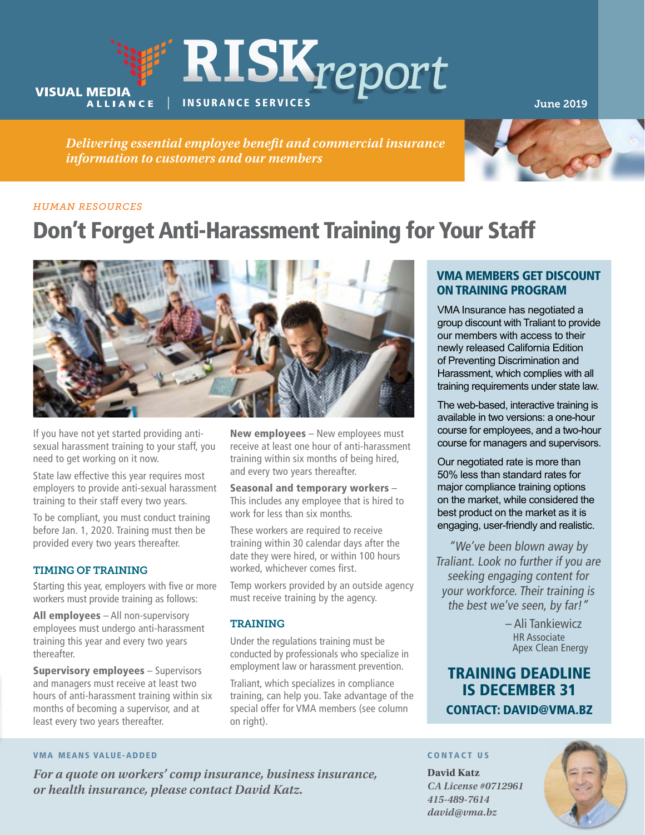

*Delivering essential employee benefit and commercial insurance information to customers and our members*



#### *HUMAN RESOURCES*

# Don't Forget Anti-Harassment Training for Your Staff



If you have not yet started providing antisexual harassment training to your staff, you need to get working on it now.

State law effective this year requires most employers to provide anti-sexual harassment training to their staff every two years.

To be compliant, you must conduct training before Jan. 1, 2020. Training must then be provided every two years thereafter.

## TIMING OF TRAINING

Starting this year, employers with five or more workers must provide training as follows:

All employees - All non-supervisory employees must undergo anti-harassment training this year and every two years thereafter.

Supervisory employees – Supervisors and managers must receive at least two hours of anti-harassment training within six months of becoming a supervisor, and at least every two years thereafter.

New employees - New employees must receive at least one hour of anti-harassment training within six months of being hired, and every two years thereafter.

Seasonal and temporary workers – This includes any employee that is hired to work for less than six months.

These workers are required to receive training within 30 calendar days after the date they were hired, or within 100 hours worked, whichever comes first.

Temp workers provided by an outside agency must receive training by the agency.

## TRAINING

Under the regulations training must be conducted by professionals who specialize in employment law or harassment prevention.

Traliant, which specializes in compliance training, can help you. Take advantage of the special offer for VMA members (see column on right).

# VMA MEMBERS GET DISCOUNT ON TRAINING PROGRAM

VMA Insurance has negotiated a group discount with Traliant to provide our members with access to their newly released California Edition of Preventing Discrimination and Harassment, which complies with all training requirements under state law.

The web-based, interactive training is available in two versions: a one-hour course for employees, and a two-hour course for managers and supervisors.

Our negotiated rate is more than 50% less than standard rates for major compliance training options on the market, while considered the best product on the market as it is engaging, user-friendly and realistic.

"We've been blown away by Traliant. Look no further if you are seeking engaging content for your workforce. Their training is the best we've seen, by far!"

> – Ali Tankiewicz HR Associate Apex Clean Energy

# TRAINING DEADLINE IS DECEMBER 31 CONTACT: DAVID@VMA.BZ

#### VMA MEANS VALUE-ADDED

*For a quote on workers' comp insurance, business insurance, or health insurance, please contact David Katz.*

#### CONTACT US

**David Katz** *CA License #0712961 415-489-7614 david@vma.bz*

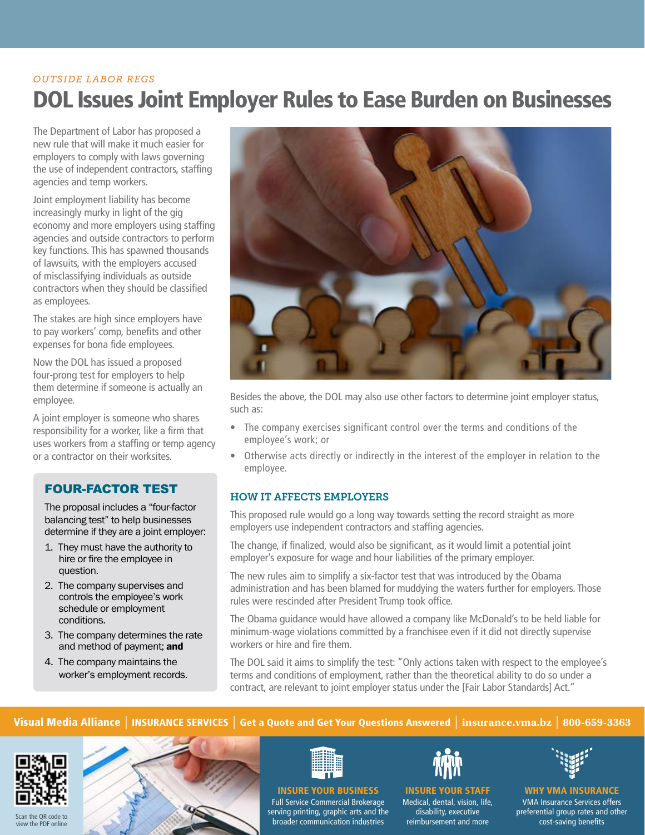# DOL Issues Joint Employer Rules to Ease Burden on Businesses *OUTSIDE LABOR REGS*

The Department of Labor has proposed a new rule that will make it much easier for employers to comply with laws governing the use of independent contractors, staffing agencies and temp workers.

Joint employment liability has become increasingly murky in light of the gig economy and more employers using staffing agencies and outside contractors to perform key functions. This has spawned thousands of lawsuits, with the employers accused of misclassifying individuals as outside contractors when they should be classified as employees.

The stakes are high since employers have to pay workers' comp, benefits and other expenses for bona fide employees.

Now the DOL has issued a proposed four-prong test for employers to help them determine if someone is actually an employee.

A joint employer is someone who shares responsibility for a worker, like a firm that uses workers from a staffing or temp agency or a contractor on their worksites.

# FOUR-FACTOR TEST

The proposal includes a "four-factor balancing test" to help businesses determine if they are a joint employer:

- 1. They must have the authority to hire or fire the employee in question.
- 2. The company supervises and controls the employee's work schedule or employment conditions.
- 3. The company determines the rate and method of payment; and
- 4. The company maintains the worker's employment records.



Besides the above, the DOL may also use other factors to determine joint employer status, such as:

- The company exercises significant control over the terms and conditions of the employee's work; or
- Otherwise acts directly or indirectly in the interest of the employer in relation to the employee.

# HOW IT AFFECTS EMPLOYERS

This proposed rule would go a long way towards setting the record straight as more employers use independent contractors and staffing agencies.

The change, if finalized, would also be significant, as it would limit a potential joint employer's exposure for wage and hour liabilities of the primary employer.

The new rules aim to simplify a six-factor test that was introduced by the Obama administration and has been blamed for muddying the waters further for employers. Those rules were rescinded after President Trump took office.

The Obama guidance would have allowed a company like McDonald's to be held liable for minimum-wage violations committed by a franchisee even if it did not directly supervise workers or hire and fire them.

The DOL said it aims to simplify the test: "Only actions taken with respect to the employee's terms and conditions of employment, rather than the theoretical ability to do so under a contract, are relevant to joint employer status under the [Fair Labor Standards] Act."

# Visual Media Alliance | INSURANCE SERVICES | Get a Quote and Get Your Questions Answered | **insurance.vma.bz** | **800-659-3363**







INSURE YOUR BUSINESS Full Service Commercial Brokerage serving printing, graphic arts and the broader communication industries



INSURE YOUR STAFF Medical, dental, vision, life, disability, executive reimbursement and more



WHY VMA INSURANCE VMA Insurance Services offers

preferential group rates and other cost-saving benefits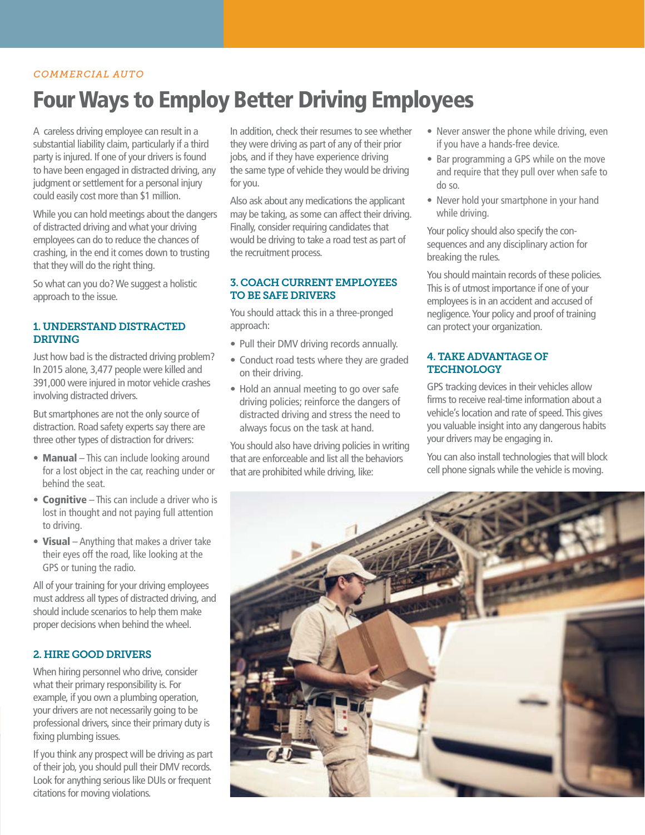## *COMMERCIAL AUTO*

# Four Ways to Employ Better Driving Employees

A careless driving employee can result in a substantial liability claim, particularly if a third party is injured. If one of your drivers is found to have been engaged in distracted driving, any judgment or settlement for a personal injury could easily cost more than \$1 million.

While you can hold meetings about the dangers of distracted driving and what your driving employees can do to reduce the chances of crashing, in the end it comes down to trusting that they will do the right thing.

So what can you do? We suggest a holistic approach to the issue.

## 1. UNDERSTAND DISTRACTED DRIVING

Just how bad is the distracted driving problem? In 2015 alone, 3,477 people were killed and 391,000 were injured in motor vehicle crashes involving distracted drivers.

But smartphones are not the only source of distraction. Road safety experts say there are three other types of distraction for drivers:

- Manual This can include looking around for a lost object in the car, reaching under or behind the seat.
- Cognitive This can include a driver who is lost in thought and not paying full attention to driving.
- Visual Anything that makes a driver take their eyes off the road, like looking at the GPS or tuning the radio.

All of your training for your driving employees must address all types of distracted driving, and should include scenarios to help them make proper decisions when behind the wheel.

## 2. HIRE GOOD DRIVERS

When hiring personnel who drive, consider what their primary responsibility is. For example, if you own a plumbing operation, your drivers are not necessarily going to be professional drivers, since their primary duty is fixing plumbing issues.

If you think any prospect will be driving as part of their job, you should pull their DMV records. Look for anything serious like DUIs or frequent citations for moving violations.

In addition, check their resumes to see whether they were driving as part of any of their prior jobs, and if they have experience driving the same type of vehicle they would be driving for you.

Also ask about any medications the applicant may be taking, as some can affect their driving. Finally, consider requiring candidates that would be driving to take a road test as part of the recruitment process.

## 3. COACH CURRENT EMPLOYEES TO BE SAFE DRIVERS

You should attack this in a three-pronged approach:

- Pull their DMV driving records annually.
- Conduct road tests where they are graded on their driving.
- Hold an annual meeting to go over safe driving policies; reinforce the dangers of distracted driving and stress the need to always focus on the task at hand.

You should also have driving policies in writing that are enforceable and list all the behaviors that are prohibited while driving, like:

- Never answer the phone while driving, even if you have a hands-free device.
- Bar programming a GPS while on the move and require that they pull over when safe to do so.
- Never hold your smartphone in your hand while driving.

Your policy should also specify the consequences and any disciplinary action for breaking the rules.

You should maintain records of these policies. This is of utmost importance if one of your employees is in an accident and accused of negligence. Your policy and proof of training can protect your organization.

### 4. TAKE ADVANTAGE OF **TECHNOLOGY**

GPS tracking devices in their vehicles allow firms to receive real-time information about a vehicle's location and rate of speed. This gives you valuable insight into any dangerous habits your drivers may be engaging in.

You can also install technologies that will block cell phone signals while the vehicle is moving.